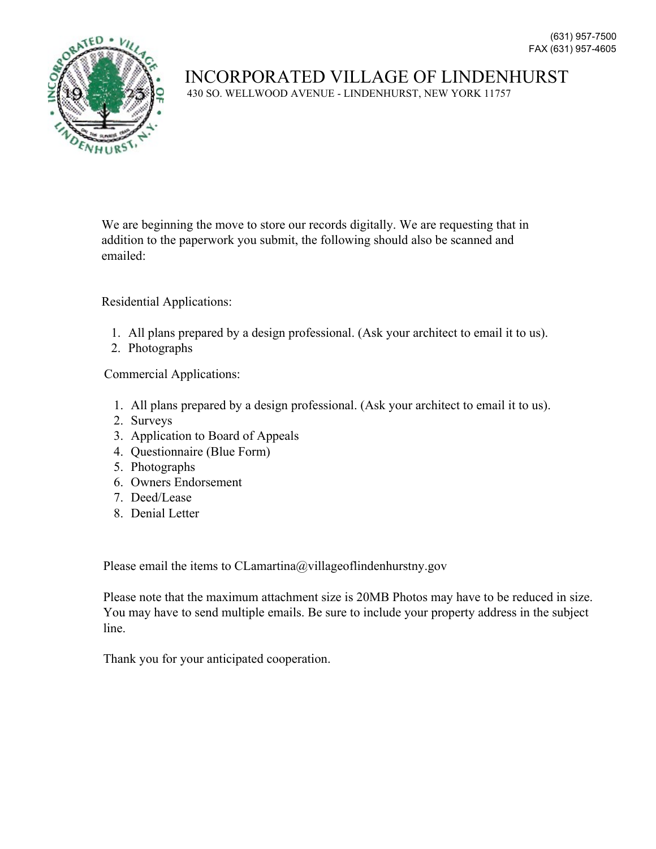

430 SO. WELLWOOD AVENUE - LINDENHURST, NEW YORK 11757

We are beginning the move to store our records digitally. We are requesting that in addition to the paperwork you submit, the following should also be scanned and emailed:

Residential Applications:

- 1. All plans prepared by a design professional. (Ask your architect to email it to us).
- 2. Photographs

Commercial Applications:

- 1. All plans prepared by a design professional. (Ask your architect to email it to us).
- 2. Surveys
- 3. Application to Board of Appeals
- 4. Questionnaire (Blue Form)
- 5. Photographs
- 6. Owners Endorsement
- 7. Deed/Lease
- 8. Denial Letter

Please email the items to CLamartina@villageoflindenhurstny.gov

Please note that the maximum attachment size is 20MB Photos may have to be reduced in size. You may have to send multiple emails. Be sure to include your property address in the subject line.

Thank you for your anticipated cooperation.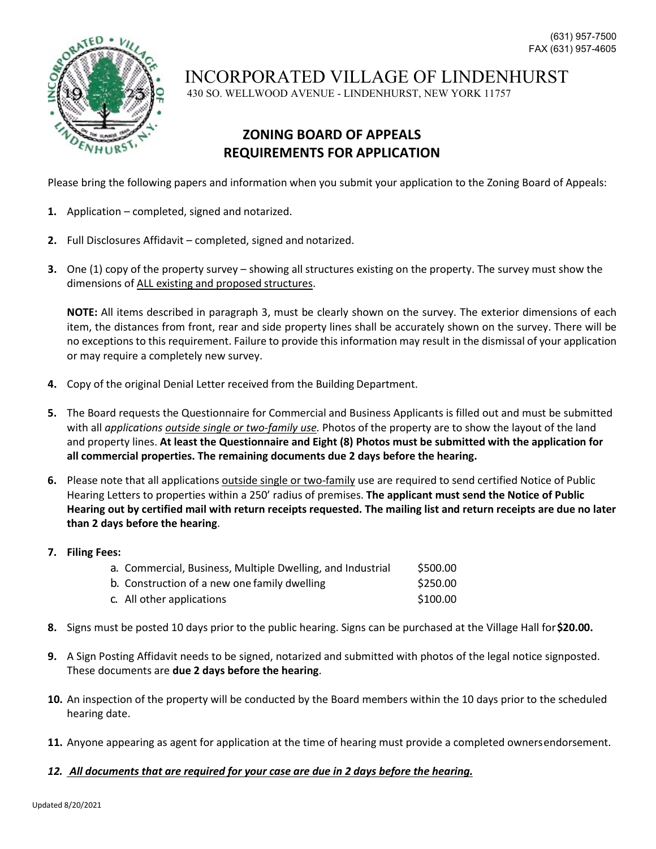

430 SO. WELLWOOD AVENUE - LINDENHURST, NEW YORK 11757

## **ZONING BOARD OF APPEALS REQUIREMENTS FOR APPLICATION**

Please bring the following papers and information when you submit your application to the Zoning Board of Appeals:

- **1.** Application completed, signed and notarized.
- **2.** Full Disclosures Affidavit completed, signed and notarized.
- **3.** One (1) copy of the property survey showing all structures existing on the property. The survey must show the dimensions of ALL existing and proposed structures.

**NOTE:** All items described in paragraph 3, must be clearly shown on the survey. The exterior dimensions of each item, the distances from front, rear and side property lines shall be accurately shown on the survey. There will be no exceptions to this requirement. Failure to provide this information may result in the dismissal of your application or may require a completely new survey.

- **4.** Copy of the original Denial Letter received from the Building Department.
- **5.** The Board requests the Questionnaire for Commercial and Business Applicants is filled out and must be submitted with all *applications outside single or two-family use.* Photos of the property are to show the layout of the land and property lines. **At least the Questionnaire and Eight (8) Photos must be submitted with the application for all commercial properties. The remaining documents due 2 days before the hearing.**
- **6.** Please note that all applications outside single or two-family use are required to send certified Notice of Public Hearing Letters to properties within a 250' radius of premises. **The applicant must send the Notice of Public Hearing out by certified mail with return receipts requested. The mailing list and return receipts are due no later than 2 days before the hearing**.
- **7. Filing Fees:**

| a. Commercial, Business, Multiple Dwelling, and Industrial | \$500.00 |
|------------------------------------------------------------|----------|
| b. Construction of a new one family dwelling               | \$250.00 |
| c. All other applications                                  | \$100.00 |

- **8.** Signs must be posted 10 days prior to the public hearing. Signs can be purchased at the Village Hall for**\$20.00.**
- **9.** A Sign Posting Affidavit needs to be signed, notarized and submitted with photos of the legal notice signposted. These documents are **due 2 days before the hearing**.
- **10.** An inspection of the property will be conducted by the Board members within the 10 days prior to the scheduled hearing date.
- **11.** Anyone appearing as agent for application at the time of hearing must provide a completed ownersendorsement.
- *12. All documents that are required for your case are due in 2 days before the hearing.*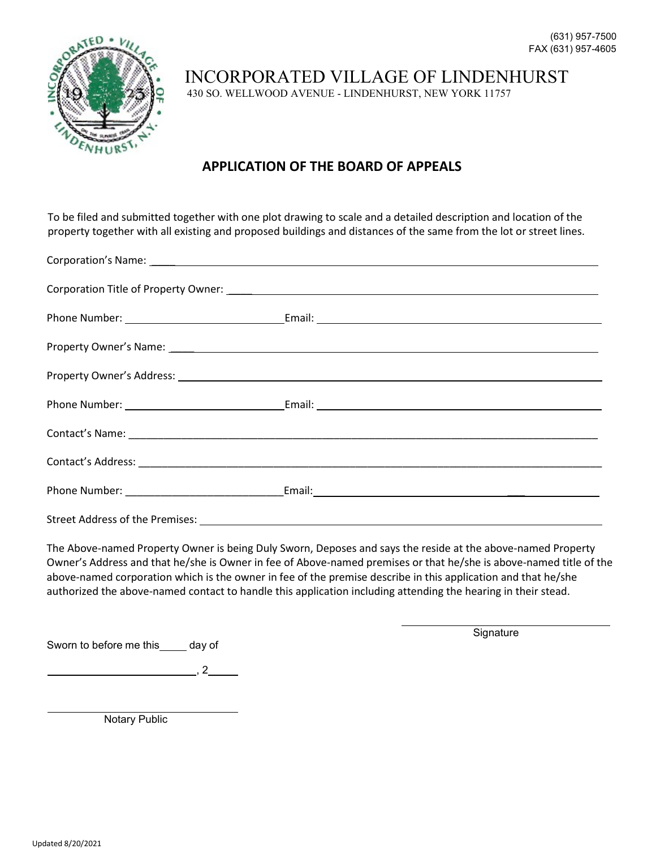

430 SO. WELLWOOD AVENUE - LINDENHURST, NEW YORK 11757

### **APPLICATION OF THE BOARD OF APPEALS**

To be filed and submitted together with one plot drawing to scale and a detailed description and location of the property together with all existing and proposed buildings and distances of the same from the lot or street lines.

|  | Property Owner's Address: 2008 2009 2010 2020 2021 2022 2023 2024 2022 2023 2024 2022 2023 2024 2022 2023 2024 |  |  |  |  |
|--|----------------------------------------------------------------------------------------------------------------|--|--|--|--|
|  |                                                                                                                |  |  |  |  |
|  |                                                                                                                |  |  |  |  |
|  |                                                                                                                |  |  |  |  |
|  |                                                                                                                |  |  |  |  |
|  |                                                                                                                |  |  |  |  |

The Above-named Property Owner is being Duly Sworn, Deposes and says the reside at the above-named Property Owner's Address and that he/she is Owner in fee of Above-named premises or that he/she is above-named title of the above-named corporation which is the owner in fee of the premise describe in this application and that he/she authorized the above-named contact to handle this application including attending the hearing in their stead.

Sworn to before me this day of

**Signature** 

 $, 2$ 

Notary Public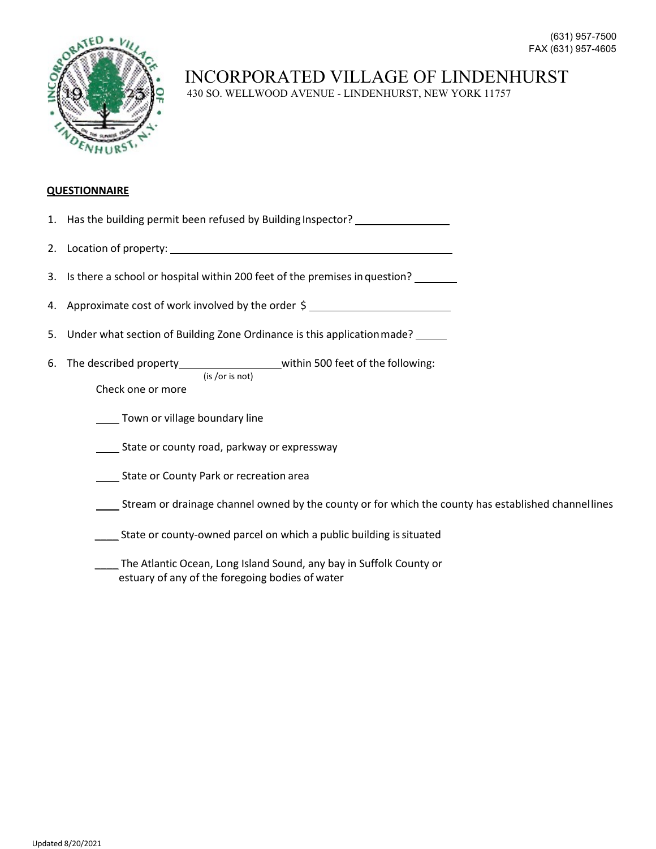

430 SO. WELLWOOD AVENUE - LINDENHURST, NEW YORK 11757

#### **QUESTIONNAIRE**

| 1. Has the building permit been refused by Building Inspector?                                                            |
|---------------------------------------------------------------------------------------------------------------------------|
|                                                                                                                           |
| 3. Is there a school or hospital within 200 feet of the premises in question?                                             |
| 4. Approximate cost of work involved by the order \$                                                                      |
| 5. Under what section of Building Zone Ordinance is this application made?                                                |
| 6. The described property______________________within 500 feet of the following:<br>(is / or is not)<br>Check one or more |
| Town or village boundary line                                                                                             |
| State or county road, parkway or expressway                                                                               |
| State or County Park or recreation area                                                                                   |
| Stream or drainage channel owned by the county or for which the county has established channel lines                      |

- 
- \_\_\_\_ State or county-owned parcel on which a public building is situated
- \_\_\_\_ The Atlantic Ocean, Long Island Sound, any bay in Suffolk County or estuary of any of the foregoing bodies of water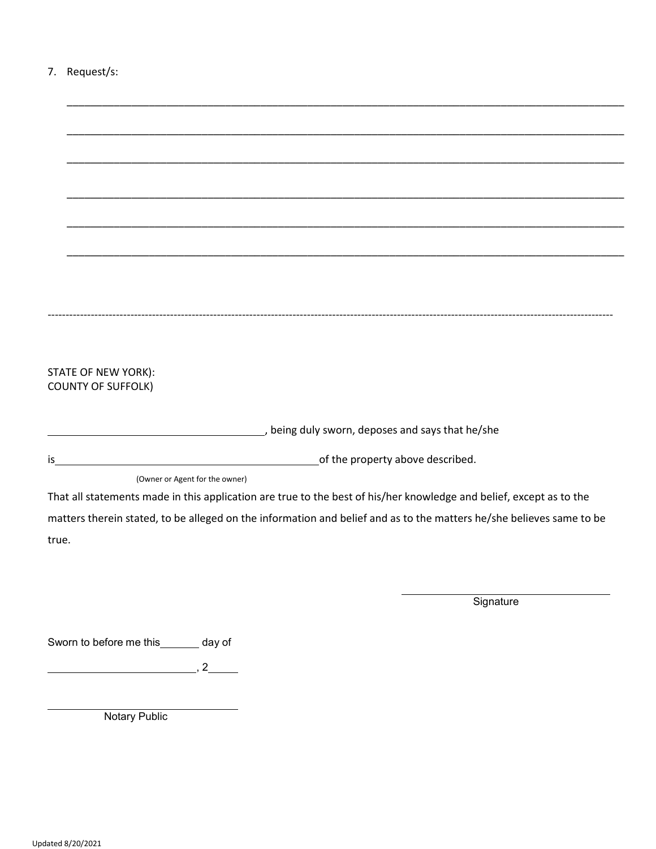| Request/s: |  |
|------------|--|
|------------|--|

| STATE OF NEW YORK):                                                                                                  |                                  |  |  |           |  |  |  |
|----------------------------------------------------------------------------------------------------------------------|----------------------------------|--|--|-----------|--|--|--|
| <b>COUNTY OF SUFFOLK)</b>                                                                                            |                                  |  |  |           |  |  |  |
|                                                                                                                      |                                  |  |  |           |  |  |  |
| desing duly sworn, deposes and says that he/she process and says that he/she                                         |                                  |  |  |           |  |  |  |
| is_                                                                                                                  | of the property above described. |  |  |           |  |  |  |
|                                                                                                                      | (Owner or Agent for the owner)   |  |  |           |  |  |  |
| That all statements made in this application are true to the best of his/her knowledge and belief, except as to the  |                                  |  |  |           |  |  |  |
| matters therein stated, to be alleged on the information and belief and as to the matters he/she believes same to be |                                  |  |  |           |  |  |  |
| true.                                                                                                                |                                  |  |  |           |  |  |  |
|                                                                                                                      |                                  |  |  |           |  |  |  |
|                                                                                                                      |                                  |  |  |           |  |  |  |
|                                                                                                                      |                                  |  |  | Signature |  |  |  |
|                                                                                                                      |                                  |  |  |           |  |  |  |
| Sworn to before me this _______ day of                                                                               |                                  |  |  |           |  |  |  |
|                                                                                                                      |                                  |  |  |           |  |  |  |
| , 2                                                                                                                  |                                  |  |  |           |  |  |  |
|                                                                                                                      |                                  |  |  |           |  |  |  |
| <b>Notary Public</b>                                                                                                 |                                  |  |  |           |  |  |  |
|                                                                                                                      |                                  |  |  |           |  |  |  |
|                                                                                                                      |                                  |  |  |           |  |  |  |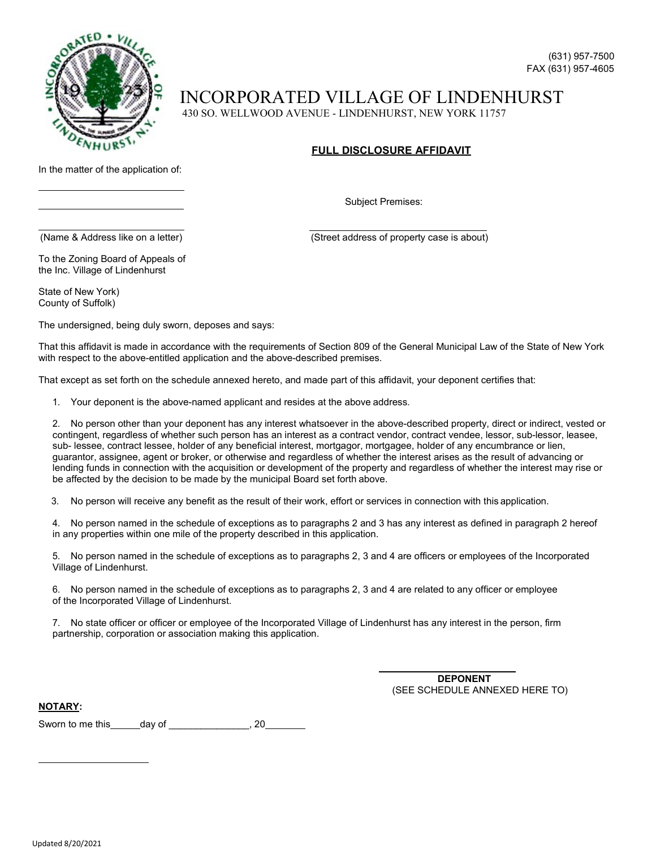

430 SO. WELLWOOD AVENUE - LINDENHURST, NEW YORK 11757

#### **FULL DISCLOSURE AFFIDAVIT**

In the matter of the application of:

Subject Premises:

(Name & Address like on a letter) (Street address of property case is about)

To the Zoning Board of Appeals of the Inc. Village of Lindenhurst

State of New York) County of Suffolk)

The undersigned, being duly sworn, deposes and says:

That this affidavit is made in accordance with the requirements of Section 809 of the General Municipal Law of the State of New York with respect to the above-entitled application and the above-described premises.

That except as set forth on the schedule annexed hereto, and made part of this affidavit, your deponent certifies that:

1. Your deponent is the above-named applicant and resides at the above address.

2. No person other than your deponent has any interest whatsoever in the above-described property, direct or indirect, vested or contingent, regardless of whether such person has an interest as a contract vendor, contract vendee, lessor, sub-lessor, leasee, sub- lessee, contract lessee, holder of any beneficial interest, mortgagor, mortgagee, holder of any encumbrance or lien, guarantor, assignee, agent or broker, or otherwise and regardless of whether the interest arises as the result of advancing or lending funds in connection with the acquisition or development of the property and regardless of whether the interest may rise or be affected by the decision to be made by the municipal Board set forth above.

3. No person will receive any benefit as the result of their work, effort or services in connection with this application.

4. No person named in the schedule of exceptions as to paragraphs 2 and 3 has any interest as defined in paragraph 2 hereof in any properties within one mile of the property described in this application.

5. No person named in the schedule of exceptions as to paragraphs 2, 3 and 4 are officers or employees of the Incorporated Village of Lindenhurst.

6. No person named in the schedule of exceptions as to paragraphs 2, 3 and 4 are related to any officer or employee of the Incorporated Village of Lindenhurst.

7. No state officer or officer or employee of the Incorporated Village of Lindenhurst has any interest in the person, firm partnership, corporation or association making this application.

> **DEPONENT** (SEE SCHEDULE ANNEXED HERE TO)

**NOTARY:**

Sworn to me this day of the same case of the same case of the same case of the same case of the same case of the same case of the same case of the same case of the same case of the same case of the same case of the same ca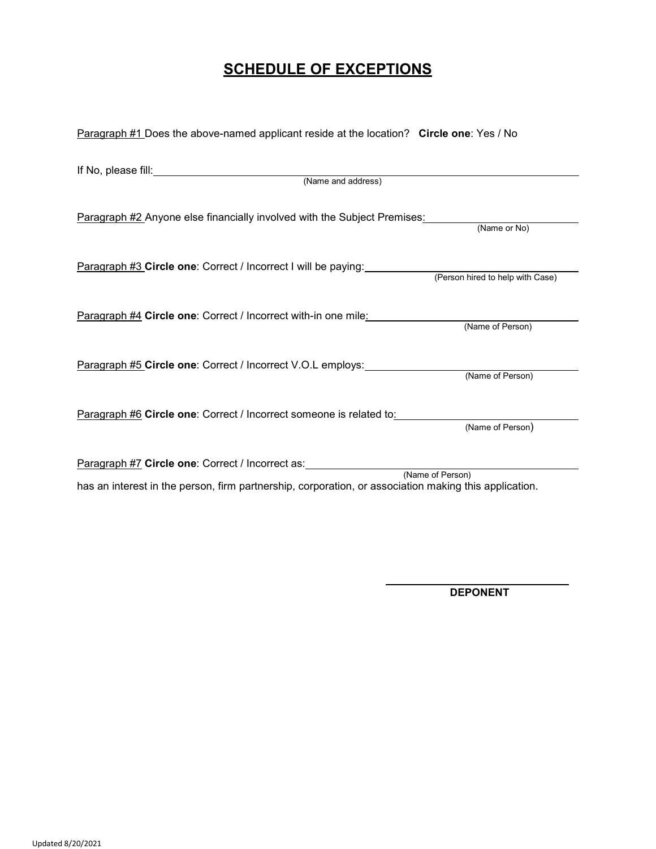## **SCHEDULE OF EXCEPTIONS**

| Paragraph #2 Anyone else financially involved with the Subject Premises: (Name or No)           |                  |
|-------------------------------------------------------------------------------------------------|------------------|
| Paragraph #3 Circle one: Correct / Incorrect I will be paying: (Person hired to help with Case) |                  |
| <u>Paragraph #4</u> Circle one: Correct / Incorrect with-in one mile:                           | (Name of Person) |
| Paragraph #5 Circle one: Correct / Incorrect V.O.L employs:                                     | (Name of Person) |
| Paragraph #6 Circle one: Correct / Incorrect someone is related to:                             | (Name of Person) |
|                                                                                                 |                  |

**DEPONENT**